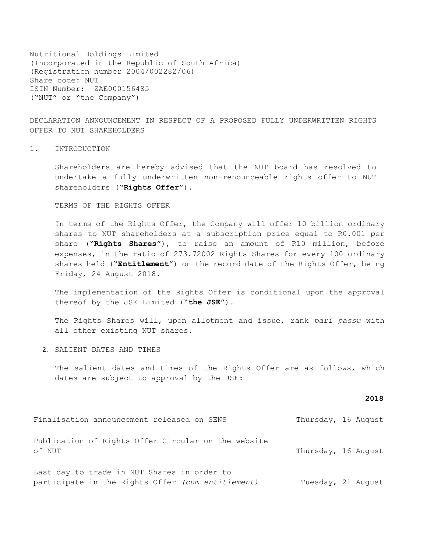Nutritional Holdings Limited (Incorporated in the Republic of South Africa) (Registration number 2004/002282/06) Share code: NUT ISIN Number: ZAE000156485 ("NUT" or "the Company")

DECLARATION ANNOUNCEMENT IN RESPECT OF A PROPOSED FULLY UNDERWRITTEN RIGHTS OFFER TO NUT SHAREHOLDERS

1. INTRODUCTION

Shareholders are hereby advised that the NUT board has resolved to undertake a fully underwritten non-renounceable rights offer to NUT shareholders ("**Rights Offer**").

TERMS OF THE RIGHTS OFFER

In terms of the Rights Offer, the Company will offer 10 billion ordinary shares to NUT shareholders at a subscription price equal to R0.001 per share ("**Rights Shares**"), to raise an amount of R10 million, before expenses, in the ratio of 273.72002 Rights Shares for every 100 ordinary shares held ("**Entitlement**") on the record date of the Rights Offer, being Friday, 24 August 2018.

The implementation of the Rights Offer is conditional upon the approval thereof by the JSE Limited ("**the JSE**").

The Rights Shares will, upon allotment and issue, rank *pari passu* with all other existing NUT shares.

2. SALIENT DATES AND TIMES

The salient dates and times of the Rights Offer are as follows, which dates are subject to approval by the JSE:

## **2018**

| Finalisation announcement released on SENS                    | Thursday, 16 August |                    |
|---------------------------------------------------------------|---------------------|--------------------|
| Publication of Rights Offer Circular on the website<br>of NUT | Thursday, 16 August |                    |
| Last day to trade in NUT Shares in order to                   |                     |                    |
| participate in the Rights Offer (cum entitlement)             |                     | Tuesday, 21 August |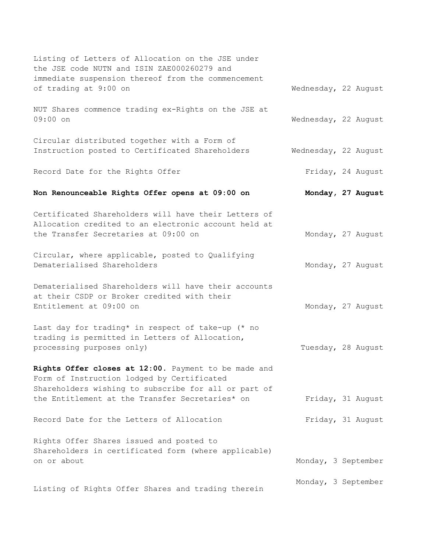| Listing of Letters of Allocation on the JSE under<br>the JSE code NUTN and ISIN ZAE000260279 and                                                                                                              |                      |  |
|---------------------------------------------------------------------------------------------------------------------------------------------------------------------------------------------------------------|----------------------|--|
| immediate suspension thereof from the commencement<br>of trading at 9:00 on                                                                                                                                   | Wednesday, 22 August |  |
| NUT Shares commence trading ex-Rights on the JSE at<br>$09:00$ on                                                                                                                                             | Wednesday, 22 August |  |
| Circular distributed together with a Form of<br>Instruction posted to Certificated Shareholders                                                                                                               | Wednesday, 22 August |  |
| Record Date for the Rights Offer                                                                                                                                                                              | Friday, 24 August    |  |
| Non Renounceable Rights Offer opens at 09:00 on                                                                                                                                                               | Monday, 27 August    |  |
| Certificated Shareholders will have their Letters of<br>Allocation credited to an electronic account held at<br>the Transfer Secretaries at 09:00 on                                                          | Monday, 27 August    |  |
| Circular, where applicable, posted to Qualifying<br>Dematerialised Shareholders                                                                                                                               | Monday, 27 August    |  |
| Dematerialised Shareholders will have their accounts<br>at their CSDP or Broker credited with their<br>Entitlement at 09:00 on                                                                                | Monday, 27 August    |  |
| Last day for trading* in respect of take-up (* no<br>trading is permitted in Letters of Allocation,<br>processing purposes only)                                                                              | Tuesday, 28 August   |  |
| Rights Offer closes at 12:00. Payment to be made and<br>Form of Instruction lodged by Certificated<br>Shareholders wishing to subscribe for all or part of<br>the Entitlement at the Transfer Secretaries* on | Friday, 31 August    |  |
| Record Date for the Letters of Allocation                                                                                                                                                                     | Friday, 31 August    |  |
| Rights Offer Shares issued and posted to<br>Shareholders in certificated form (where applicable)<br>on or about                                                                                               | Monday, 3 September  |  |
| Listing of Rights Offer Shares and trading therein                                                                                                                                                            | Monday, 3 September  |  |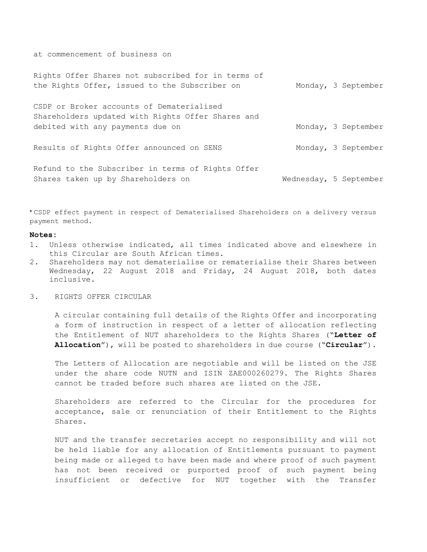at commencement of business on

| Rights Offer Shares not subscribed for in terms of<br>the Rights Offer, issued to the Subscriber on | Monday, 3 September    |
|-----------------------------------------------------------------------------------------------------|------------------------|
| CSDP or Broker accounts of Dematerialised<br>Shareholders updated with Rights Offer Shares and      |                        |
| debited with any payments due on                                                                    | Monday, 3 September    |
| Results of Rights Offer announced on SENS                                                           | Monday, 3 September    |
| Refund to the Subscriber in terms of Rights Offer<br>Shares taken up by Shareholders on             | Wednesday, 5 September |

\* CSDP effect payment in respect of Dematerialised Shareholders on a delivery versus payment method.

## **Notes:**

- 1. Unless otherwise indicated, all times indicated above and elsewhere in this Circular are South African times.
- 2. Shareholders may not dematerialise or rematerialise their Shares between Wednesday, 22 August 2018 and Friday, 24 August 2018, both dates inclusive.
- 3. RIGHTS OFFER CIRCULAR

A circular containing full details of the Rights Offer and incorporating a form of instruction in respect of a letter of allocation reflecting the Entitlement of NUT shareholders to the Rights Shares ("**Letter of Allocation**"), will be posted to shareholders in due course ("**Circular**").

The Letters of Allocation are negotiable and will be listed on the JSE under the share code NUTN and ISIN ZAE000260279. The Rights Shares cannot be traded before such shares are listed on the JSE.

Shareholders are referred to the Circular for the procedures for acceptance, sale or renunciation of their Entitlement to the Rights Shares.

NUT and the transfer secretaries accept no responsibility and will not be held liable for any allocation of Entitlements pursuant to payment being made or alleged to have been made and where proof of such payment has not been received or purported proof of such payment being insufficient or defective for NUT together with the Transfer